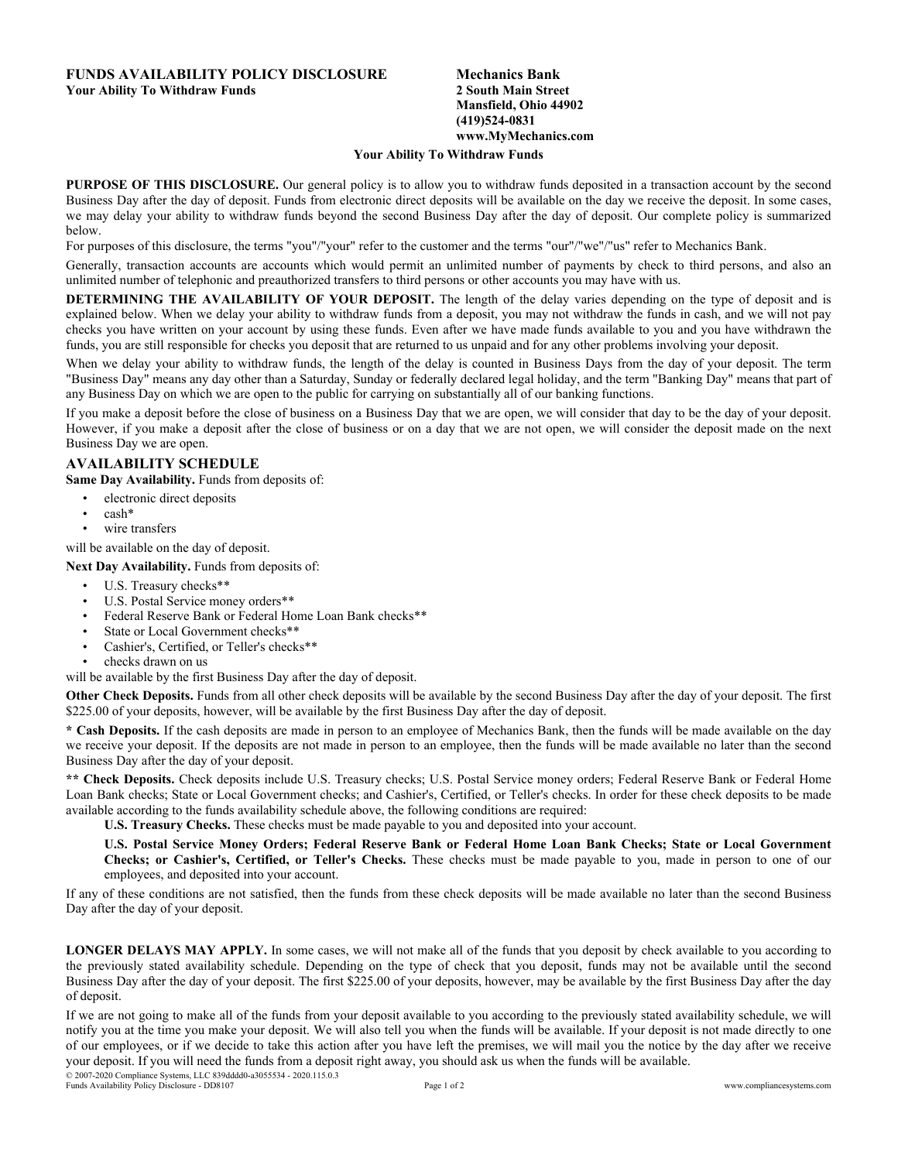## **FUNDS AVAILABILITY POLICY DISCLOSURE Your Ability To Withdraw Funds**

## **Mechanics Bank 2 South Main Street Mansfield, Ohio 44902 (419)524-0831 www.MyMechanics.com**

## **Your Ability To Withdraw Funds**

**PURPOSE OF THIS DISCLOSURE.** Our general policy is to allow you to withdraw funds deposited in a transaction account by the second Business Day after the day of deposit. Funds from electronic direct deposits will be available on the day we receive the deposit. In some cases, we may delay your ability to withdraw funds beyond the second Business Day after the day of deposit. Our complete policy is summarized below.

For purposes of this disclosure, the terms "you"/"your" refer to the customer and the terms "our"/"we"/"us" refer to Mechanics Bank.

Generally, transaction accounts are accounts which would permit an unlimited number of payments by check to third persons, and also an unlimited number of telephonic and preauthorized transfers to third persons or other accounts you may have with us.

**DETERMINING THE AVAILABILITY OF YOUR DEPOSIT.** The length of the delay varies depending on the type of deposit and is explained below. When we delay your ability to withdraw funds from a deposit, you may not withdraw the funds in cash, and we will not pay checks you have written on your account by using these funds. Even after we have made funds available to you and you have withdrawn the funds, you are still responsible for checks you deposit that are returned to us unpaid and for any other problems involving your deposit.

When we delay your ability to withdraw funds, the length of the delay is counted in Business Days from the day of your deposit. The term "Business Day" means any day other than a Saturday, Sunday or federally declared legal holiday, and the term "Banking Day" means that part of any Business Day on which we are open to the public for carrying on substantially all of our banking functions.

If you make a deposit before the close of business on a Business Day that we are open, we will consider that day to be the day of your deposit. However, if you make a deposit after the close of business or on a day that we are not open, we will consider the deposit made on the next Business Day we are open.

## **AVAILABILITY SCHEDULE**

**Same Day Availability.** Funds from deposits of:

- electronic direct deposits
- cash\*
- wire transfers

will be available on the day of deposit.

**Next Day Availability.** Funds from deposits of:

- U.S. Treasury checks\*\*
- U.S. Postal Service money orders\*\*
- Federal Reserve Bank or Federal Home Loan Bank checks\*\*
- State or Local Government checks\*\*
- Cashier's, Certified, or Teller's checks\*\*
- checks drawn on us

will be available by the first Business Day after the day of deposit.

**Other Check Deposits.** Funds from all other check deposits will be available by the second Business Day after the day of your deposit. The first \$225.00 of your deposits, however, will be available by the first Business Day after the day of deposit.

**\* Cash Deposits.** If the cash deposits are made in person to an employee of Mechanics Bank, then the funds will be made available on the day we receive your deposit. If the deposits are not made in person to an employee, then the funds will be made available no later than the second Business Day after the day of your deposit.

**\*\* Check Deposits.** Check deposits include U.S. Treasury checks; U.S. Postal Service money orders; Federal Reserve Bank or Federal Home Loan Bank checks; State or Local Government checks; and Cashier's, Certified, or Teller's checks. In order for these check deposits to be made available according to the funds availability schedule above, the following conditions are required:

**U.S. Treasury Checks.** These checks must be made payable to you and deposited into your account.

U.S. Postal Service Money Orders; Federal Reserve Bank or Federal Home Loan Bank Checks; State or Local Government **Checks; or Cashier's, Certified, or Teller's Checks.** These checks must be made payable to you, made in person to one of our employees, and deposited into your account.

If any of these conditions are not satisfied, then the funds from these check deposits will be made available no later than the second Business Day after the day of your deposit.

**LONGER DELAYS MAY APPLY.** In some cases, we will not make all of the funds that you deposit by check available to you according to the previously stated availability schedule. Depending on the type of check that you deposit, funds may not be available until the second Business Day after the day of your deposit. The first \$225.00 of your deposits, however, may be available by the first Business Day after the day of deposit.

If we are not going to make all of the funds from your deposit available to you according to the previously stated availability schedule, we will notify you at the time you make your deposit. We will also tell you when the funds will be available. If your deposit is not made directly to one of our employees, or if we decide to take this action after you have left the premises, we will mail you the notice by the day after we receive your deposit. If you will need the funds from a deposit right away, you should ask us when the funds will be available.

© 2007-2020 Compliance Systems, LLC 839dddd0-a3055534 - 2020.115.0.3 Funds Availability Policy Disclosure - DD8107 Page 1 of 2 www.compliancesystems.com